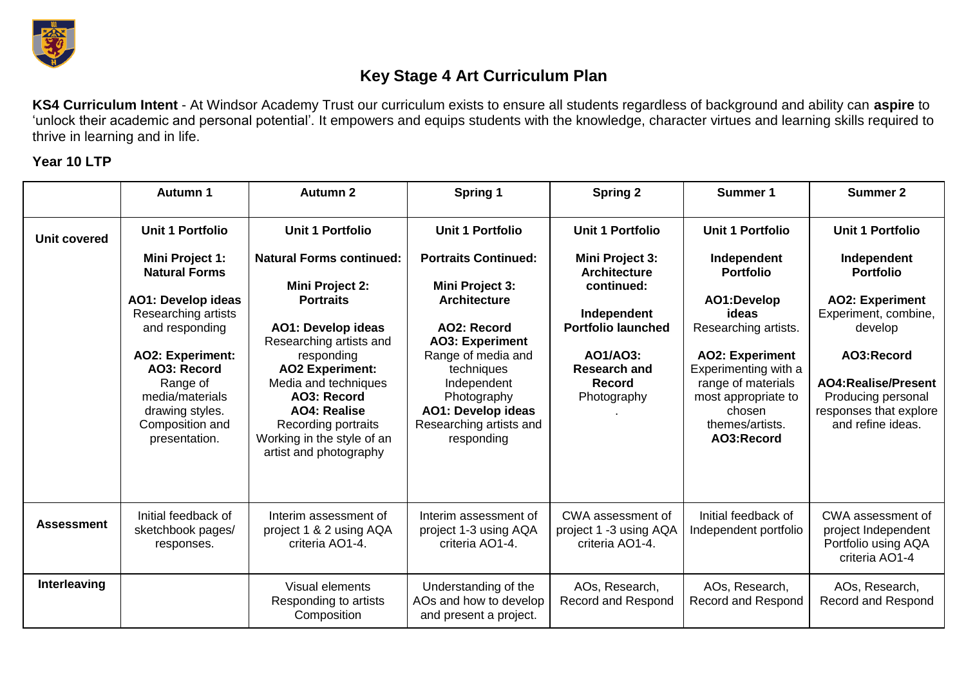

## **Key Stage 4 Art Curriculum Plan**

**KS4 Curriculum Intent** - At Windsor Academy Trust our curriculum exists to ensure all students regardless of background and ability can **aspire** to 'unlock their academic and personal potential'. It empowers and equips students with the knowledge, character virtues and learning skills required to thrive in learning and in life.

## **Year 10 LTP**

|                     | <b>Autumn 1</b>                                                                                                                                                                                                                               | <b>Autumn 2</b>                                                                                                                                                                                                                                                                                                     | Spring 1                                                                                                                                                                                                                                                      | <b>Spring 2</b>                                                                                                                                                     | Summer 1                                                                                                                                                                                                                  | <b>Summer 2</b>                                                                                                                                                                                               |
|---------------------|-----------------------------------------------------------------------------------------------------------------------------------------------------------------------------------------------------------------------------------------------|---------------------------------------------------------------------------------------------------------------------------------------------------------------------------------------------------------------------------------------------------------------------------------------------------------------------|---------------------------------------------------------------------------------------------------------------------------------------------------------------------------------------------------------------------------------------------------------------|---------------------------------------------------------------------------------------------------------------------------------------------------------------------|---------------------------------------------------------------------------------------------------------------------------------------------------------------------------------------------------------------------------|---------------------------------------------------------------------------------------------------------------------------------------------------------------------------------------------------------------|
| <b>Unit covered</b> | <b>Unit 1 Portfolio</b>                                                                                                                                                                                                                       | <b>Unit 1 Portfolio</b>                                                                                                                                                                                                                                                                                             | <b>Unit 1 Portfolio</b>                                                                                                                                                                                                                                       | <b>Unit 1 Portfolio</b>                                                                                                                                             | <b>Unit 1 Portfolio</b>                                                                                                                                                                                                   | <b>Unit 1 Portfolio</b>                                                                                                                                                                                       |
|                     | Mini Project 1:<br><b>Natural Forms</b><br><b>AO1: Develop ideas</b><br>Researching artists<br>and responding<br><b>AO2: Experiment:</b><br>AO3: Record<br>Range of<br>media/materials<br>drawing styles.<br>Composition and<br>presentation. | <b>Natural Forms continued:</b><br>Mini Project 2:<br><b>Portraits</b><br><b>AO1: Develop ideas</b><br>Researching artists and<br>responding<br><b>AO2 Experiment:</b><br>Media and techniques<br>AO3: Record<br><b>AO4: Realise</b><br>Recording portraits<br>Working in the style of an<br>artist and photography | <b>Portraits Continued:</b><br><b>Mini Project 3:</b><br><b>Architecture</b><br>AO2: Record<br><b>AO3: Experiment</b><br>Range of media and<br>techniques<br>Independent<br>Photography<br><b>AO1: Develop ideas</b><br>Researching artists and<br>responding | Mini Project 3:<br><b>Architecture</b><br>continued:<br>Independent<br><b>Portfolio launched</b><br>AO1/AO3:<br><b>Research and</b><br><b>Record</b><br>Photography | Independent<br><b>Portfolio</b><br>AO1:Develop<br>ideas<br>Researching artists.<br><b>AO2: Experiment</b><br>Experimenting with a<br>range of materials<br>most appropriate to<br>chosen<br>themes/artists.<br>AO3:Record | Independent<br><b>Portfolio</b><br><b>AO2: Experiment</b><br>Experiment, combine,<br>develop<br>AO3:Record<br><b>AO4:Realise/Present</b><br>Producing personal<br>responses that explore<br>and refine ideas. |
| <b>Assessment</b>   | Initial feedback of<br>sketchbook pages/<br>responses.                                                                                                                                                                                        | Interim assessment of<br>project 1 & 2 using AQA<br>criteria AO1-4.                                                                                                                                                                                                                                                 | Interim assessment of<br>project 1-3 using AQA<br>criteria AO1-4.                                                                                                                                                                                             | CWA assessment of<br>project 1 -3 using AQA<br>criteria AO1-4.                                                                                                      | Initial feedback of<br>Independent portfolio                                                                                                                                                                              | CWA assessment of<br>project Independent<br>Portfolio using AQA<br>criteria AO1-4                                                                                                                             |
| Interleaving        |                                                                                                                                                                                                                                               | Visual elements<br>Responding to artists<br>Composition                                                                                                                                                                                                                                                             | Understanding of the<br>AOs and how to develop<br>and present a project.                                                                                                                                                                                      | AOs, Research,<br>Record and Respond                                                                                                                                | AOs, Research,<br><b>Record and Respond</b>                                                                                                                                                                               | AOs, Research,<br><b>Record and Respond</b>                                                                                                                                                                   |